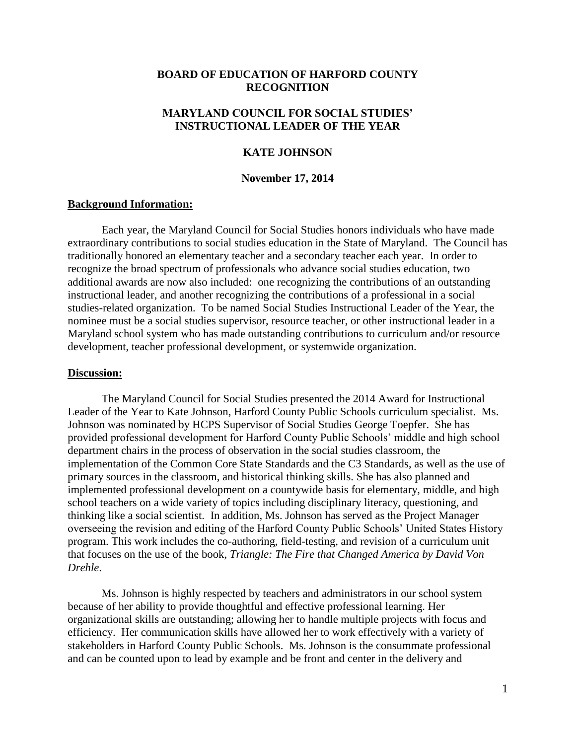# **BOARD OF EDUCATION OF HARFORD COUNTY RECOGNITION**

## **MARYLAND COUNCIL FOR SOCIAL STUDIES' INSTRUCTIONAL LEADER OF THE YEAR**

## **KATE JOHNSON**

## **November 17, 2014**

### **Background Information:**

Each year, the Maryland Council for Social Studies honors individuals who have made extraordinary contributions to social studies education in the State of Maryland. The Council has traditionally honored an elementary teacher and a secondary teacher each year. In order to recognize the broad spectrum of professionals who advance social studies education, two additional awards are now also included: one recognizing the contributions of an outstanding instructional leader, and another recognizing the contributions of a professional in a social studies-related organization. To be named Social Studies Instructional Leader of the Year, the nominee must be a social studies supervisor, resource teacher, or other instructional leader in a Maryland school system who has made outstanding contributions to curriculum and/or resource development, teacher professional development, or systemwide organization.

### **Discussion:**

The Maryland Council for Social Studies presented the 2014 Award for Instructional Leader of the Year to Kate Johnson, Harford County Public Schools curriculum specialist. Ms. Johnson was nominated by HCPS Supervisor of Social Studies George Toepfer. She has provided professional development for Harford County Public Schools' middle and high school department chairs in the process of observation in the social studies classroom, the implementation of the Common Core State Standards and the C3 Standards, as well as the use of primary sources in the classroom, and historical thinking skills. She has also planned and implemented professional development on a countywide basis for elementary, middle, and high school teachers on a wide variety of topics including disciplinary literacy, questioning, and thinking like a social scientist. In addition, Ms. Johnson has served as the Project Manager overseeing the revision and editing of the Harford County Public Schools' United States History program. This work includes the co-authoring, field-testing, and revision of a curriculum unit that focuses on the use of the book, *Triangle: The Fire that Changed America by David Von Drehle*.

Ms. Johnson is highly respected by teachers and administrators in our school system because of her ability to provide thoughtful and effective professional learning. Her organizational skills are outstanding; allowing her to handle multiple projects with focus and efficiency. Her communication skills have allowed her to work effectively with a variety of stakeholders in Harford County Public Schools. Ms. Johnson is the consummate professional and can be counted upon to lead by example and be front and center in the delivery and